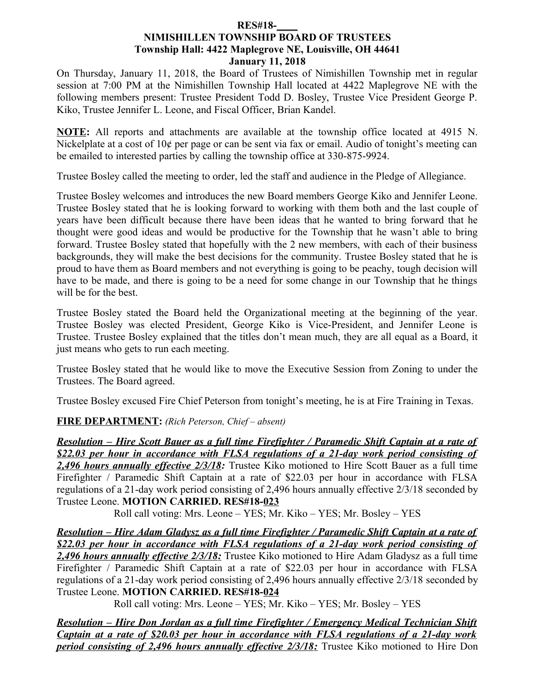#### **RES#18-\_\_\_\_ NIMISHILLEN TOWNSHIP BOARD OF TRUSTEES Township Hall: 4422 Maplegrove NE, Louisville, OH 44641 January 11, 2018**

On Thursday, January 11, 2018, the Board of Trustees of Nimishillen Township met in regular session at 7:00 PM at the Nimishillen Township Hall located at 4422 Maplegrove NE with the following members present: Trustee President Todd D. Bosley, Trustee Vice President George P. Kiko, Trustee Jennifer L. Leone, and Fiscal Officer, Brian Kandel.

**NOTE:** All reports and attachments are available at the township office located at 4915 N. Nickelplate at a cost of 10¢ per page or can be sent via fax or email. Audio of tonight's meeting can be emailed to interested parties by calling the township office at 330-875-9924.

Trustee Bosley called the meeting to order, led the staff and audience in the Pledge of Allegiance.

Trustee Bosley welcomes and introduces the new Board members George Kiko and Jennifer Leone. Trustee Bosley stated that he is looking forward to working with them both and the last couple of years have been difficult because there have been ideas that he wanted to bring forward that he thought were good ideas and would be productive for the Township that he wasn't able to bring forward. Trustee Bosley stated that hopefully with the 2 new members, with each of their business backgrounds, they will make the best decisions for the community. Trustee Bosley stated that he is proud to have them as Board members and not everything is going to be peachy, tough decision will have to be made, and there is going to be a need for some change in our Township that he things will be for the best.

Trustee Bosley stated the Board held the Organizational meeting at the beginning of the year. Trustee Bosley was elected President, George Kiko is Vice-President, and Jennifer Leone is Trustee. Trustee Bosley explained that the titles don't mean much, they are all equal as a Board, it just means who gets to run each meeting.

Trustee Bosley stated that he would like to move the Executive Session from Zoning to under the Trustees. The Board agreed.

Trustee Bosley excused Fire Chief Peterson from tonight's meeting, he is at Fire Training in Texas.

#### **FIRE DEPARTMENT:** *(Rich Peterson, Chief – absent)*

 *Resolution – Hire Scott Bauer as a full time Firefighter / Paramedic Shift Captain at a rate of \$22.03 per hour in accordance with FLSA regulations of a 21-day work period consisting of 2,496 hours annually effective 2/3/18:* Trustee Kiko motioned to Hire Scott Bauer as a full time Firefighter / Paramedic Shift Captain at a rate of \$22.03 per hour in accordance with FLSA regulations of a 21-day work period consisting of 2,496 hours annually effective 2/3/18 seconded by Trustee Leone. **MOTION CARRIED. RES#18-023**

Roll call voting: Mrs. Leone – YES; Mr. Kiko – YES; Mr. Bosley – YES

 *Resolution – Hire Adam Gladysz as a full time Firefighter / Paramedic Shift Captain at a rate of \$22.03 per hour in accordance with FLSA regulations of a 21-day work period consisting of 2,496 hours annually effective 2/3/18:* Trustee Kiko motioned to Hire Adam Gladysz as a full time Firefighter / Paramedic Shift Captain at a rate of \$22.03 per hour in accordance with FLSA regulations of a 21-day work period consisting of 2,496 hours annually effective 2/3/18 seconded by Trustee Leone. **MOTION CARRIED. RES#18-024**

Roll call voting: Mrs. Leone – YES; Mr. Kiko – YES; Mr. Bosley – YES

 *Resolution – Hire Don Jordan as a full time Firefighter / Emergency Medical Technician Shift Captain at a rate of \$20.03 per hour in accordance with FLSA regulations of a 21-day work period consisting of 2,496 hours annually effective 2/3/18:* Trustee Kiko motioned to Hire Don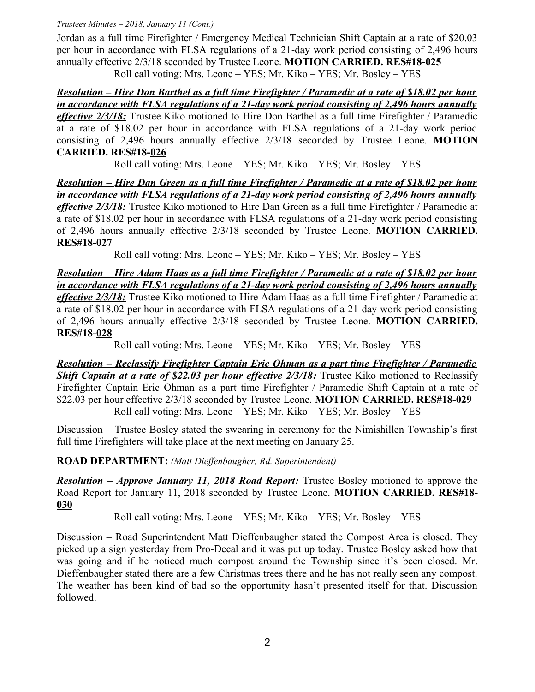Jordan as a full time Firefighter / Emergency Medical Technician Shift Captain at a rate of \$20.03 per hour in accordance with FLSA regulations of a 21-day work period consisting of 2,496 hours annually effective 2/3/18 seconded by Trustee Leone. **MOTION CARRIED. RES#18-025** Roll call voting: Mrs. Leone – YES; Mr. Kiko – YES; Mr. Bosley – YES

 *Resolution – Hire Don Barthel as a full time Firefighter / Paramedic at a rate of \$18.02 per hour in accordance with FLSA regulations of a 21-day work period consisting of 2,496 hours annually effective 2/3/18:* Trustee Kiko motioned to Hire Don Barthel as a full time Firefighter / Paramedic at a rate of \$18.02 per hour in accordance with FLSA regulations of a 21-day work period consisting of 2,496 hours annually effective 2/3/18 seconded by Trustee Leone. **MOTION CARRIED. RES#18-026**

Roll call voting: Mrs. Leone – YES; Mr. Kiko – YES; Mr. Bosley – YES

 *Resolution – Hire Dan Green as a full time Firefighter / Paramedic at a rate of \$18.02 per hour in accordance with FLSA regulations of a 21-day work period consisting of 2,496 hours annually effective 2/3/18:* Trustee Kiko motioned to Hire Dan Green as a full time Firefighter / Paramedic at a rate of \$18.02 per hour in accordance with FLSA regulations of a 21-day work period consisting of 2,496 hours annually effective 2/3/18 seconded by Trustee Leone. **MOTION CARRIED. RES#18-027**

Roll call voting: Mrs. Leone – YES; Mr. Kiko – YES; Mr. Bosley – YES

 *Resolution – Hire Adam Haas as a full time Firefighter / Paramedic at a rate of \$18.02 per hour in accordance with FLSA regulations of a 21-day work period consisting of 2,496 hours annually effective 2/3/18:* Trustee Kiko motioned to Hire Adam Haas as a full time Firefighter / Paramedic at a rate of \$18.02 per hour in accordance with FLSA regulations of a 21-day work period consisting of 2,496 hours annually effective 2/3/18 seconded by Trustee Leone. **MOTION CARRIED. RES#18-028**

Roll call voting: Mrs. Leone – YES; Mr. Kiko – YES; Mr. Bosley – YES

 *Resolution – Reclassify Firefighter Captain Eric Ohman as a part time Firefighter / Paramedic Shift Captain at a rate of \$22.03 per hour effective 2/3/18:* **Trustee Kiko motioned to Reclassify** Firefighter Captain Eric Ohman as a part time Firefighter / Paramedic Shift Captain at a rate of \$22.03 per hour effective 2/3/18 seconded by Trustee Leone. **MOTION CARRIED. RES#18-029** Roll call voting: Mrs. Leone – YES; Mr. Kiko – YES; Mr. Bosley – YES

Discussion – Trustee Bosley stated the swearing in ceremony for the Nimishillen Township's first full time Firefighters will take place at the next meeting on January 25.

**ROAD DEPARTMENT:** *(Matt Dieffenbaugher, Rd. Superintendent)*

*Resolution – Approve January 11, 2018 Road Report:* Trustee Bosley motioned to approve the Road Report for January 11, 2018 seconded by Trustee Leone. **MOTION CARRIED. RES#18- 030**

Roll call voting: Mrs. Leone – YES; Mr. Kiko – YES; Mr. Bosley – YES

Discussion – Road Superintendent Matt Dieffenbaugher stated the Compost Area is closed. They picked up a sign yesterday from Pro-Decal and it was put up today. Trustee Bosley asked how that was going and if he noticed much compost around the Township since it's been closed. Mr. Dieffenbaugher stated there are a few Christmas trees there and he has not really seen any compost. The weather has been kind of bad so the opportunity hasn't presented itself for that. Discussion followed.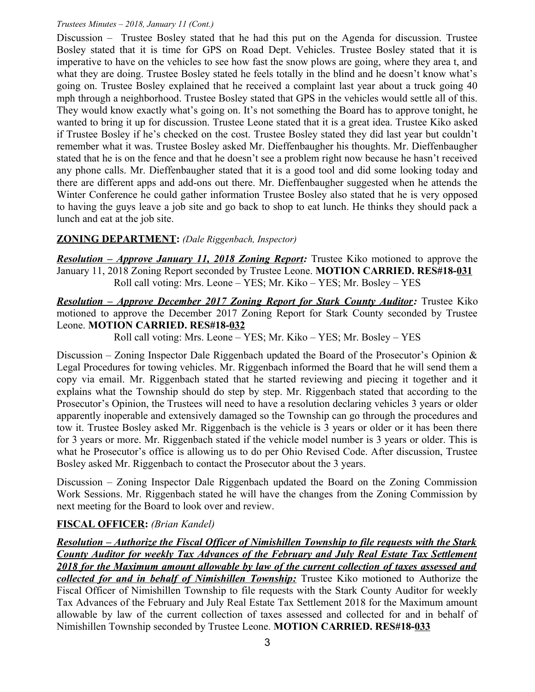Discussion – Trustee Bosley stated that he had this put on the Agenda for discussion. Trustee Bosley stated that it is time for GPS on Road Dept. Vehicles. Trustee Bosley stated that it is imperative to have on the vehicles to see how fast the snow plows are going, where they area t, and what they are doing. Trustee Bosley stated he feels totally in the blind and he doesn't know what's going on. Trustee Bosley explained that he received a complaint last year about a truck going 40 mph through a neighborhood. Trustee Bosley stated that GPS in the vehicles would settle all of this. They would know exactly what's going on. It's not something the Board has to approve tonight, he wanted to bring it up for discussion. Trustee Leone stated that it is a great idea. Trustee Kiko asked if Trustee Bosley if he's checked on the cost. Trustee Bosley stated they did last year but couldn't remember what it was. Trustee Bosley asked Mr. Dieffenbaugher his thoughts. Mr. Dieffenbaugher stated that he is on the fence and that he doesn't see a problem right now because he hasn't received any phone calls. Mr. Dieffenbaugher stated that it is a good tool and did some looking today and there are different apps and add-ons out there. Mr. Dieffenbaugher suggested when he attends the Winter Conference he could gather information Trustee Bosley also stated that he is very opposed to having the guys leave a job site and go back to shop to eat lunch. He thinks they should pack a lunch and eat at the job site.

### **ZONING DEPARTMENT:** *(Dale Riggenbach, Inspector)*

*Resolution – Approve January 11, 2018 Zoning Report:* Trustee Kiko motioned to approve the January 11, 2018 Zoning Report seconded by Trustee Leone. **MOTION CARRIED. RES#18-031** Roll call voting: Mrs. Leone – YES; Mr. Kiko – YES; Mr. Bosley – YES

*Resolution – Approve December 2017 Zoning Report for Stark County Auditor:* Trustee Kiko motioned to approve the December 2017 Zoning Report for Stark County seconded by Trustee Leone. **MOTION CARRIED. RES#18-032**

Roll call voting: Mrs. Leone – YES; Mr. Kiko – YES; Mr. Bosley – YES

Discussion – Zoning Inspector Dale Riggenbach updated the Board of the Prosecutor's Opinion  $\&$ Legal Procedures for towing vehicles. Mr. Riggenbach informed the Board that he will send them a copy via email. Mr. Riggenbach stated that he started reviewing and piecing it together and it explains what the Township should do step by step. Mr. Riggenbach stated that according to the Prosecutor's Opinion, the Trustees will need to have a resolution declaring vehicles 3 years or older apparently inoperable and extensively damaged so the Township can go through the procedures and tow it. Trustee Bosley asked Mr. Riggenbach is the vehicle is 3 years or older or it has been there for 3 years or more. Mr. Riggenbach stated if the vehicle model number is 3 years or older. This is what he Prosecutor's office is allowing us to do per Ohio Revised Code. After discussion, Trustee Bosley asked Mr. Riggenbach to contact the Prosecutor about the 3 years.

Discussion – Zoning Inspector Dale Riggenbach updated the Board on the Zoning Commission Work Sessions. Mr. Riggenbach stated he will have the changes from the Zoning Commission by next meeting for the Board to look over and review.

# **FISCAL OFFICER:** *(Brian Kandel)*

 *Resolution – Authorize the Fiscal Officer of Nimishillen Township to file requests with the Stark County Auditor for weekly Tax Advances of the February and July Real Estate Tax Settlement 2018 for the Maximum amount allowable by law of the current collection of taxes assessed and collected for and in behalf of Nimishillen Township:* Trustee Kiko motioned to Authorize the Fiscal Officer of Nimishillen Township to file requests with the Stark County Auditor for weekly Tax Advances of the February and July Real Estate Tax Settlement 2018 for the Maximum amount allowable by law of the current collection of taxes assessed and collected for and in behalf of Nimishillen Township seconded by Trustee Leone. **MOTION CARRIED. RES#18-033**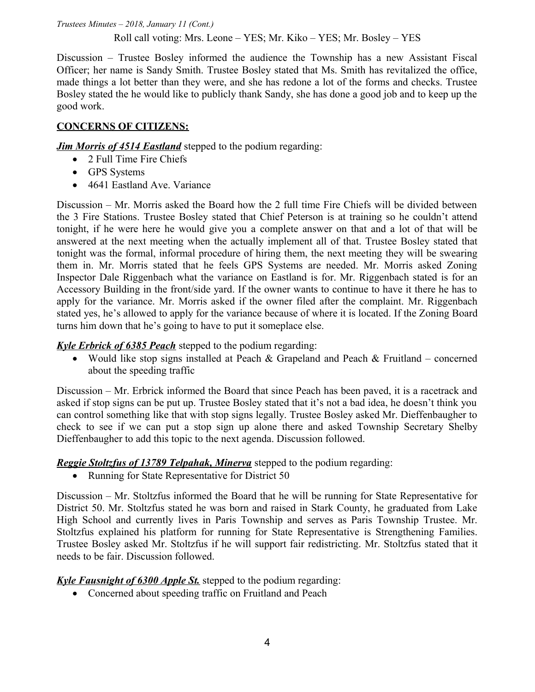#### Roll call voting: Mrs. Leone – YES; Mr. Kiko – YES; Mr. Bosley – YES

Discussion – Trustee Bosley informed the audience the Township has a new Assistant Fiscal Officer; her name is Sandy Smith. Trustee Bosley stated that Ms. Smith has revitalized the office, made things a lot better than they were, and she has redone a lot of the forms and checks. Trustee Bosley stated the he would like to publicly thank Sandy, she has done a good job and to keep up the good work.

### **CONCERNS OF CITIZENS:**

*Jim Morris of 4514 Eastland* stepped to the podium regarding:

- 2 Full Time Fire Chiefs
- GPS Systems
- 4641 Eastland Ave. Variance

Discussion – Mr. Morris asked the Board how the 2 full time Fire Chiefs will be divided between the 3 Fire Stations. Trustee Bosley stated that Chief Peterson is at training so he couldn't attend tonight, if he were here he would give you a complete answer on that and a lot of that will be answered at the next meeting when the actually implement all of that. Trustee Bosley stated that tonight was the formal, informal procedure of hiring them, the next meeting they will be swearing them in. Mr. Morris stated that he feels GPS Systems are needed. Mr. Morris asked Zoning Inspector Dale Riggenbach what the variance on Eastland is for. Mr. Riggenbach stated is for an Accessory Building in the front/side yard. If the owner wants to continue to have it there he has to apply for the variance. Mr. Morris asked if the owner filed after the complaint. Mr. Riggenbach stated yes, he's allowed to apply for the variance because of where it is located. If the Zoning Board turns him down that he's going to have to put it someplace else.

## *Kyle Erbrick of 6385 Peach* stepped to the podium regarding:

• Would like stop signs installed at Peach & Grapeland and Peach & Fruitland – concerned about the speeding traffic

Discussion – Mr. Erbrick informed the Board that since Peach has been paved, it is a racetrack and asked if stop signs can be put up. Trustee Bosley stated that it's not a bad idea, he doesn't think you can control something like that with stop signs legally. Trustee Bosley asked Mr. Dieffenbaugher to check to see if we can put a stop sign up alone there and asked Township Secretary Shelby Dieffenbaugher to add this topic to the next agenda. Discussion followed.

# *Reggie Stoltzfus of 13789 Telpahak, Minerva* stepped to the podium regarding:

• Running for State Representative for District 50

Discussion – Mr. Stoltzfus informed the Board that he will be running for State Representative for District 50. Mr. Stoltzfus stated he was born and raised in Stark County, he graduated from Lake High School and currently lives in Paris Township and serves as Paris Township Trustee. Mr. Stoltzfus explained his platform for running for State Representative is Strengthening Families. Trustee Bosley asked Mr. Stoltzfus if he will support fair redistricting. Mr. Stoltzfus stated that it needs to be fair. Discussion followed.

# *Kyle Fausnight of 6300 Apple St.* stepped to the podium regarding:

• Concerned about speeding traffic on Fruitland and Peach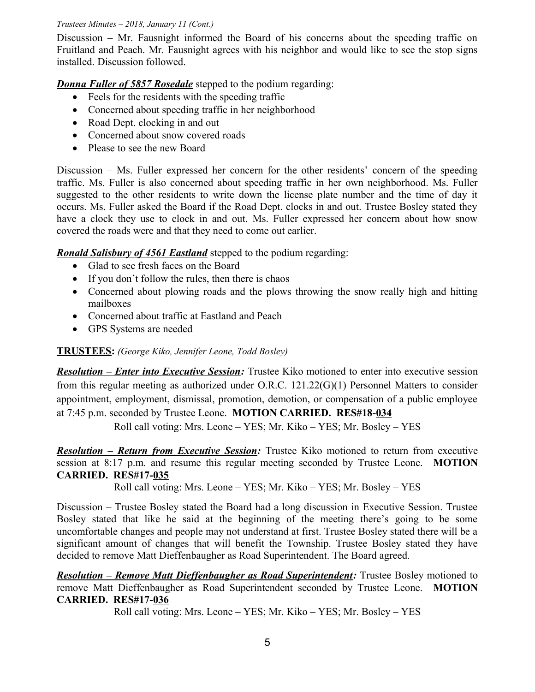Discussion – Mr. Fausnight informed the Board of his concerns about the speeding traffic on Fruitland and Peach. Mr. Fausnight agrees with his neighbor and would like to see the stop signs installed. Discussion followed.

#### *Donna Fuller of 5857 Rosedale* stepped to the podium regarding:

- Feels for the residents with the speeding traffic
- Concerned about speeding traffic in her neighborhood
- Road Dept. clocking in and out
- Concerned about snow covered roads
- Please to see the new Board

Discussion – Ms. Fuller expressed her concern for the other residents' concern of the speeding traffic. Ms. Fuller is also concerned about speeding traffic in her own neighborhood. Ms. Fuller suggested to the other residents to write down the license plate number and the time of day it occurs. Ms. Fuller asked the Board if the Road Dept. clocks in and out. Trustee Bosley stated they have a clock they use to clock in and out. Ms. Fuller expressed her concern about how snow covered the roads were and that they need to come out earlier.

*Ronald Salisbury of 4561 Eastland* stepped to the podium regarding:

- Glad to see fresh faces on the Board
- If you don't follow the rules, then there is chaos
- Concerned about plowing roads and the plows throwing the snow really high and hitting mailboxes
- Concerned about traffic at Eastland and Peach
- GPS Systems are needed

## **TRUSTEES:** *(George Kiko, Jennifer Leone, Todd Bosley)*

*Resolution – Enter into Executive Session:* Trustee Kiko motioned to enter into executive session from this regular meeting as authorized under O.R.C. 121.22(G)(1) Personnel Matters to consider appointment, employment, dismissal, promotion, demotion, or compensation of a public employee at 7:45 p.m. seconded by Trustee Leone. **MOTION CARRIED. RES#18-034**

Roll call voting: Mrs. Leone – YES; Mr. Kiko – YES; Mr. Bosley – YES

*Resolution – Return from Executive Session:* Trustee Kiko motioned to return from executive session at 8:17 p.m. and resume this regular meeting seconded by Trustee Leone. **MOTION CARRIED. RES#17-035**

Roll call voting: Mrs. Leone – YES; Mr. Kiko – YES; Mr. Bosley – YES

Discussion – Trustee Bosley stated the Board had a long discussion in Executive Session. Trustee Bosley stated that like he said at the beginning of the meeting there's going to be some uncomfortable changes and people may not understand at first. Trustee Bosley stated there will be a significant amount of changes that will benefit the Township. Trustee Bosley stated they have decided to remove Matt Dieffenbaugher as Road Superintendent. The Board agreed.

*Resolution – Remove Matt Dieffenbaugher as Road Superintendent:* Trustee Bosley motioned to remove Matt Dieffenbaugher as Road Superintendent seconded by Trustee Leone. **MOTION CARRIED. RES#17-036**

Roll call voting: Mrs. Leone – YES; Mr. Kiko – YES; Mr. Bosley – YES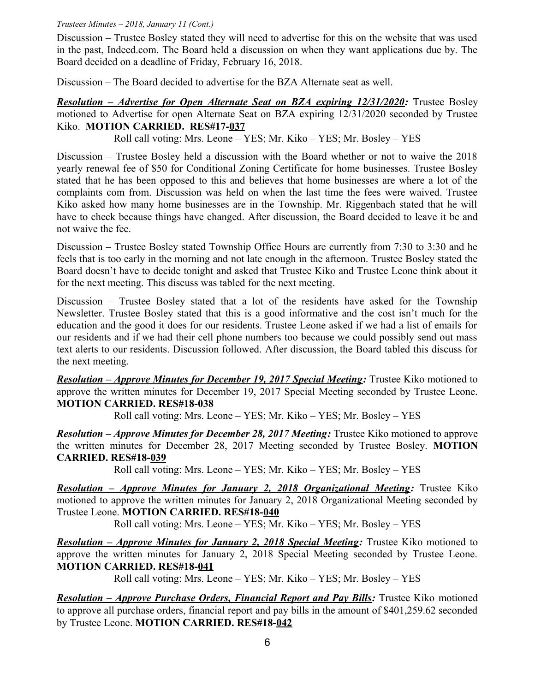Discussion – Trustee Bosley stated they will need to advertise for this on the website that was used in the past, Indeed.com. The Board held a discussion on when they want applications due by. The Board decided on a deadline of Friday, February 16, 2018.

Discussion – The Board decided to advertise for the BZA Alternate seat as well.

*Resolution – Advertise for Open Alternate Seat on BZA expiring 12/31/2020:* Trustee Bosley motioned to Advertise for open Alternate Seat on BZA expiring 12/31/2020 seconded by Trustee Kiko. **MOTION CARRIED. RES#17-037**

Roll call voting: Mrs. Leone – YES; Mr. Kiko – YES; Mr. Bosley – YES

Discussion – Trustee Bosley held a discussion with the Board whether or not to waive the 2018 yearly renewal fee of \$50 for Conditional Zoning Certificate for home businesses. Trustee Bosley stated that he has been opposed to this and believes that home businesses are where a lot of the complaints com from. Discussion was held on when the last time the fees were waived. Trustee Kiko asked how many home businesses are in the Township. Mr. Riggenbach stated that he will have to check because things have changed. After discussion, the Board decided to leave it be and not waive the fee.

Discussion – Trustee Bosley stated Township Office Hours are currently from 7:30 to 3:30 and he feels that is too early in the morning and not late enough in the afternoon. Trustee Bosley stated the Board doesn't have to decide tonight and asked that Trustee Kiko and Trustee Leone think about it for the next meeting. This discuss was tabled for the next meeting.

Discussion – Trustee Bosley stated that a lot of the residents have asked for the Township Newsletter. Trustee Bosley stated that this is a good informative and the cost isn't much for the education and the good it does for our residents. Trustee Leone asked if we had a list of emails for our residents and if we had their cell phone numbers too because we could possibly send out mass text alerts to our residents. Discussion followed. After discussion, the Board tabled this discuss for the next meeting.

 *Resolution – Approve Minutes for December 19, 2017 Special Meeting:* Trustee Kiko motioned to approve the written minutes for December 19, 2017 Special Meeting seconded by Trustee Leone. **MOTION CARRIED. RES#18-038**

Roll call voting: Mrs. Leone – YES; Mr. Kiko – YES; Mr. Bosley – YES

 *Resolution – Approve Minutes for December 28, 2017 Meeting:* Trustee Kiko motioned to approve the written minutes for December 28, 2017 Meeting seconded by Trustee Bosley. **MOTION CARRIED. RES#18-039**

Roll call voting: Mrs. Leone – YES; Mr. Kiko – YES; Mr. Bosley – YES

 *Resolution – Approve Minutes for January 2, 2018 Organizational Meeting:* Trustee Kiko motioned to approve the written minutes for January 2, 2018 Organizational Meeting seconded by Trustee Leone. **MOTION CARRIED. RES#18-040**

Roll call voting: Mrs. Leone – YES; Mr. Kiko – YES; Mr. Bosley – YES

*Resolution – Approve Minutes for January 2, 2018 Special Meeting:* **Trustee Kiko motioned to** approve the written minutes for January 2, 2018 Special Meeting seconded by Trustee Leone. **MOTION CARRIED. RES#18-041**

Roll call voting: Mrs. Leone – YES; Mr. Kiko – YES; Mr. Bosley – YES

*Resolution – Approve Purchase Orders, Financial Report and Pay Bills:* Trustee Kiko motioned to approve all purchase orders, financial report and pay bills in the amount of \$401,259.62 seconded by Trustee Leone. **MOTION CARRIED. RES#18-042**